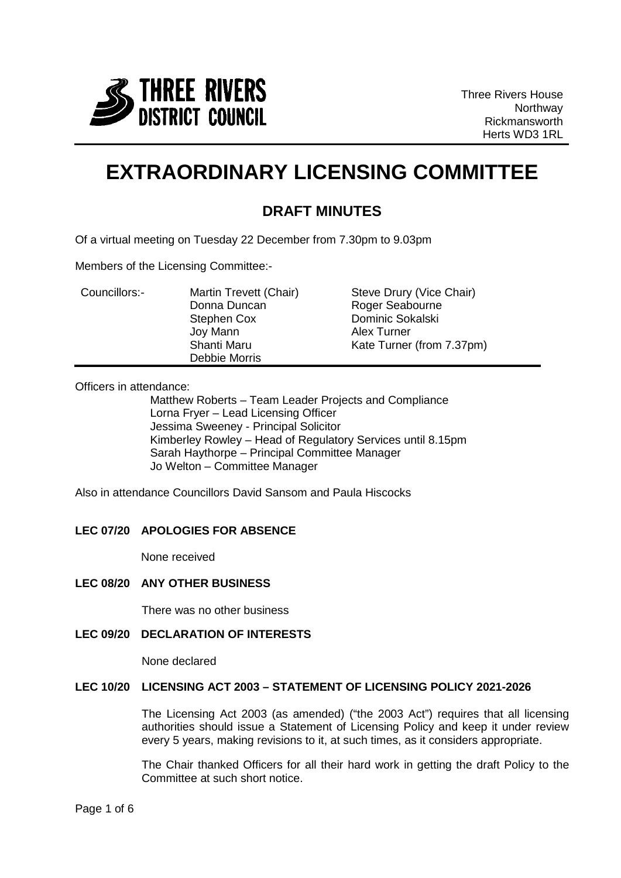

Three Rivers House **Northway** Rickmansworth Herts WD3 1RL

# **EXTRAORDINARY LICENSING COMMITTEE**

# **DRAFT MINUTES**

Of a virtual meeting on Tuesday 22 December from 7.30pm to 9.03pm

Members of the Licensing Committee:-

| Councillors:- | Martin Trevett (Chair) | Steve Drury (Vice Chair)  |
|---------------|------------------------|---------------------------|
|               | Donna Duncan           | Roger Seabourne           |
|               | Stephen Cox            | Dominic Sokalski          |
|               | Joy Mann               | Alex Turner               |
|               | Shanti Maru            | Kate Turner (from 7.37pm) |
|               | Debbie Morris          |                           |

Officers in attendance:

Matthew Roberts – Team Leader Projects and Compliance Lorna Fryer – Lead Licensing Officer Jessima Sweeney - Principal Solicitor Kimberley Rowley – Head of Regulatory Services until 8.15pm Sarah Haythorpe – Principal Committee Manager Jo Welton – Committee Manager

Also in attendance Councillors David Sansom and Paula Hiscocks

## **LEC 07/20 APOLOGIES FOR ABSENCE**

None received

#### **LEC 08/20 ANY OTHER BUSINESS**

There was no other business

# **LEC 09/20 DECLARATION OF INTERESTS**

None declared

### **LEC 10/20 LICENSING ACT 2003 – STATEMENT OF LICENSING POLICY 2021-2026**

The Licensing Act 2003 (as amended) ("the 2003 Act") requires that all licensing authorities should issue a Statement of Licensing Policy and keep it under review every 5 years, making revisions to it, at such times, as it considers appropriate.

The Chair thanked Officers for all their hard work in getting the draft Policy to the Committee at such short notice.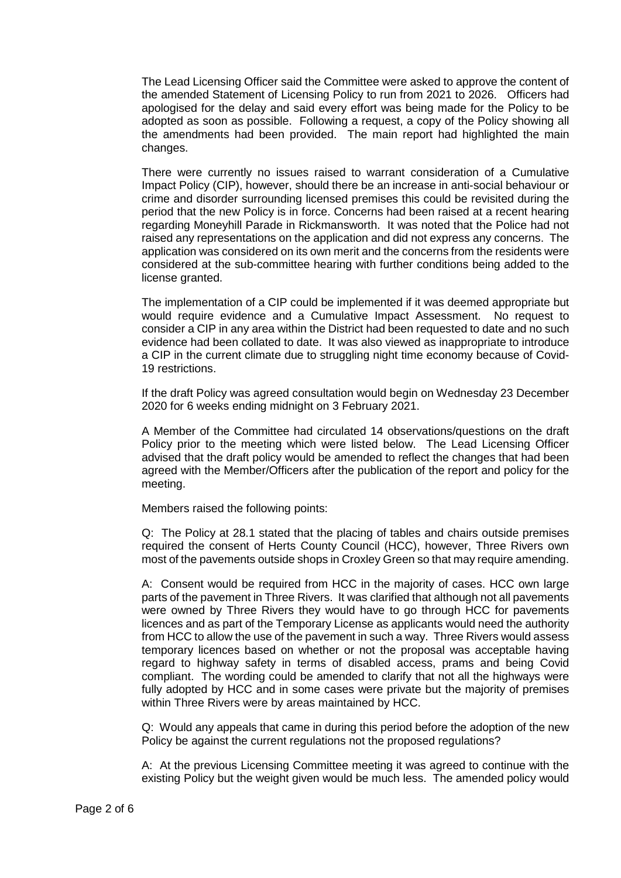The Lead Licensing Officer said the Committee were asked to approve the content of the amended Statement of Licensing Policy to run from 2021 to 2026. Officers had apologised for the delay and said every effort was being made for the Policy to be adopted as soon as possible. Following a request, a copy of the Policy showing all the amendments had been provided. The main report had highlighted the main changes.

There were currently no issues raised to warrant consideration of a Cumulative Impact Policy (CIP), however, should there be an increase in anti-social behaviour or crime and disorder surrounding licensed premises this could be revisited during the period that the new Policy is in force. Concerns had been raised at a recent hearing regarding Moneyhill Parade in Rickmansworth. It was noted that the Police had not raised any representations on the application and did not express any concerns. The application was considered on its own merit and the concerns from the residents were considered at the sub-committee hearing with further conditions being added to the license granted.

The implementation of a CIP could be implemented if it was deemed appropriate but would require evidence and a Cumulative Impact Assessment. No request to consider a CIP in any area within the District had been requested to date and no such evidence had been collated to date. It was also viewed as inappropriate to introduce a CIP in the current climate due to struggling night time economy because of Covid-19 restrictions.

If the draft Policy was agreed consultation would begin on Wednesday 23 December 2020 for 6 weeks ending midnight on 3 February 2021.

A Member of the Committee had circulated 14 observations/questions on the draft Policy prior to the meeting which were listed below. The Lead Licensing Officer advised that the draft policy would be amended to reflect the changes that had been agreed with the Member/Officers after the publication of the report and policy for the meeting.

Members raised the following points:

Q: The Policy at 28.1 stated that the placing of tables and chairs outside premises required the consent of Herts County Council (HCC), however, Three Rivers own most of the pavements outside shops in Croxley Green so that may require amending.

A: Consent would be required from HCC in the majority of cases. HCC own large parts of the pavement in Three Rivers. It was clarified that although not all pavements were owned by Three Rivers they would have to go through HCC for pavements licences and as part of the Temporary License as applicants would need the authority from HCC to allow the use of the pavement in such a way. Three Rivers would assess temporary licences based on whether or not the proposal was acceptable having regard to highway safety in terms of disabled access, prams and being Covid compliant. The wording could be amended to clarify that not all the highways were fully adopted by HCC and in some cases were private but the majority of premises within Three Rivers were by areas maintained by HCC.

Q: Would any appeals that came in during this period before the adoption of the new Policy be against the current regulations not the proposed regulations?

A: At the previous Licensing Committee meeting it was agreed to continue with the existing Policy but the weight given would be much less. The amended policy would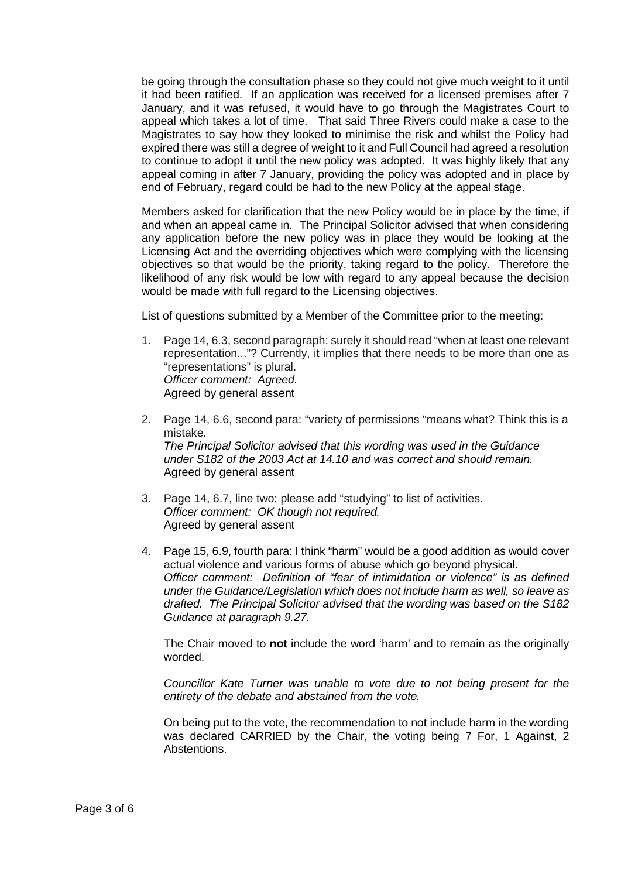be going through the consultation phase so they could not give much weight to it until it had been ratified. If an application was received for a licensed premises after 7 January, and it was refused, it would have to go through the Magistrates Court to appeal which takes a lot of time. That said Three Rivers could make a case to the Magistrates to say how they looked to minimise the risk and whilst the Policy had expired there was still a degree of weight to it and Full Council had agreed a resolution to continue to adopt it until the new policy was adopted. It was highly likely that any appeal coming in after 7 January, providing the policy was adopted and in place by end of February, regard could be had to the new Policy at the appeal stage.

Members asked for clarification that the new Policy would be in place by the time, if and when an appeal came in. The Principal Solicitor advised that when considering any application before the new policy was in place they would be looking at the Licensing Act and the overriding objectives which were complying with the licensing objectives so that would be the priority, taking regard to the policy. Therefore the likelihood of any risk would be low with regard to any appeal because the decision would be made with full regard to the Licensing objectives.

List of questions submitted by a Member of the Committee prior to the meeting:

- 1. Page 14, 6.3, second paragraph: surely it should read "when at least one relevant representation..."? Currently, it implies that there needs to be more than one as "representations" is plural. *Officer comment: Agreed.*  Agreed by general assent
- 2. Page 14, 6.6, second para: "variety of permissions "means what? Think this is a mistake. *The Principal Solicitor advised that this wording was used in the Guidance under S182 of the 2003 Act at 14.10 and was correct and should remain.* Agreed by general assent
- 3. Page 14, 6.7, line two: please add "studying" to list of activities. *Officer comment: OK though not required.* Agreed by general assent
- 4. Page 15, 6.9, fourth para: I think "harm" would be a good addition as would cover actual violence and various forms of abuse which go beyond physical. *Officer comment: Definition of "fear of intimidation or violence" is as defined under the Guidance/Legislation which does not include harm as well, so leave as drafted. The Principal Solicitor advised that the wording was based on the S182 Guidance at paragraph 9.27.*

The Chair moved to **not** include the word 'harm' and to remain as the originally worded.

*Councillor Kate Turner was unable to vote due to not being present for the entirety of the debate and abstained from the vote.*

On being put to the vote, the recommendation to not include harm in the wording was declared CARRIED by the Chair, the voting being 7 For, 1 Against, 2 Abstentions.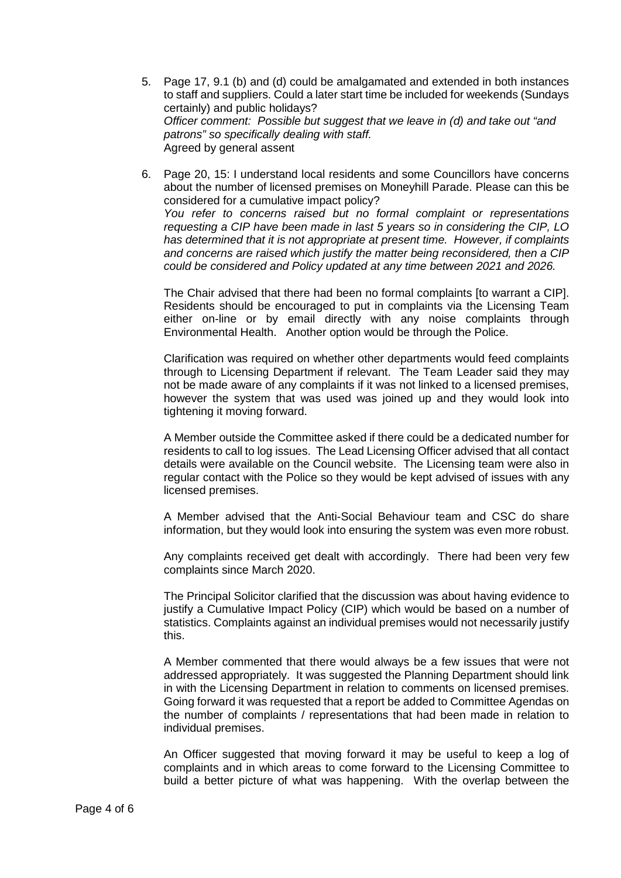- 5. Page 17, 9.1 (b) and (d) could be amalgamated and extended in both instances to staff and suppliers. Could a later start time be included for weekends (Sundays certainly) and public holidays? *Officer comment: Possible but suggest that we leave in (d) and take out "and patrons" so specifically dealing with staff.* Agreed by general assent
- 6. Page 20, 15: I understand local residents and some Councillors have concerns about the number of licensed premises on Moneyhill Parade. Please can this be considered for a cumulative impact policy? *You refer to concerns raised but no formal complaint or representations requesting a CIP have been made in last 5 years so in considering the CIP, LO has determined that it is not appropriate at present time. However, if complaints and concerns are raised which justify the matter being reconsidered, then a CIP could be considered and Policy updated at any time between 2021 and 2026.*

The Chair advised that there had been no formal complaints [to warrant a CIP]. Residents should be encouraged to put in complaints via the Licensing Team either on-line or by email directly with any noise complaints through Environmental Health. Another option would be through the Police.

Clarification was required on whether other departments would feed complaints through to Licensing Department if relevant. The Team Leader said they may not be made aware of any complaints if it was not linked to a licensed premises, however the system that was used was joined up and they would look into tightening it moving forward.

A Member outside the Committee asked if there could be a dedicated number for residents to call to log issues. The Lead Licensing Officer advised that all contact details were available on the Council website. The Licensing team were also in regular contact with the Police so they would be kept advised of issues with any licensed premises.

A Member advised that the Anti-Social Behaviour team and CSC do share information, but they would look into ensuring the system was even more robust.

Any complaints received get dealt with accordingly. There had been very few complaints since March 2020.

The Principal Solicitor clarified that the discussion was about having evidence to justify a Cumulative Impact Policy (CIP) which would be based on a number of statistics. Complaints against an individual premises would not necessarily justify this.

A Member commented that there would always be a few issues that were not addressed appropriately. It was suggested the Planning Department should link in with the Licensing Department in relation to comments on licensed premises. Going forward it was requested that a report be added to Committee Agendas on the number of complaints / representations that had been made in relation to individual premises.

An Officer suggested that moving forward it may be useful to keep a log of complaints and in which areas to come forward to the Licensing Committee to build a better picture of what was happening. With the overlap between the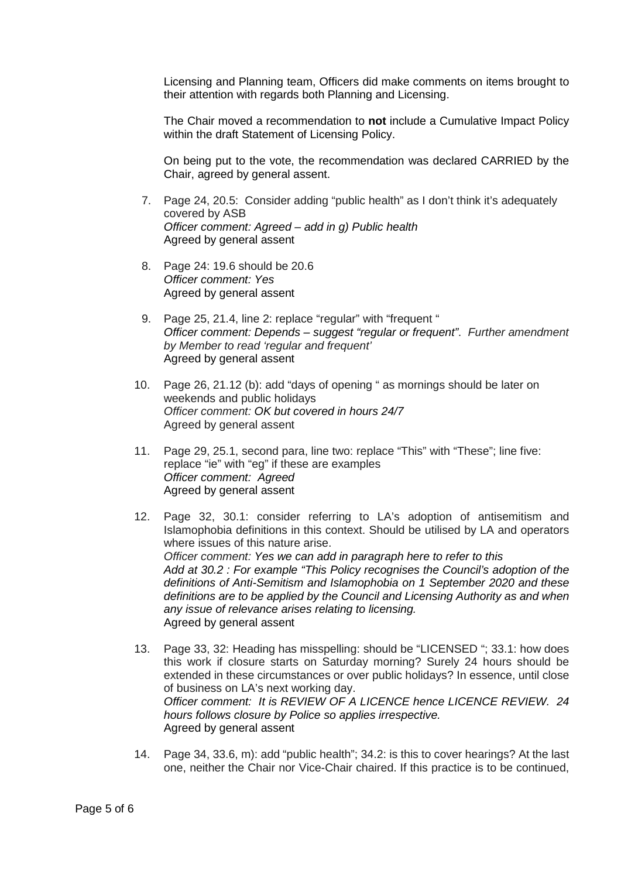Licensing and Planning team, Officers did make comments on items brought to their attention with regards both Planning and Licensing.

The Chair moved a recommendation to **not** include a Cumulative Impact Policy within the draft Statement of Licensing Policy.

On being put to the vote, the recommendation was declared CARRIED by the Chair, agreed by general assent.

- 7. Page 24, 20.5: Consider adding "public health" as I don't think it's adequately covered by ASB *Officer comment: Agreed – add in g) Public health* Agreed by general assent
- 8. Page 24: 19.6 should be 20.6 *Officer comment: Yes*  Agreed by general assent
- 9. Page 25, 21.4, line 2: replace "regular" with "frequent " *Officer comment: Depends – suggest "regular or frequent"*. *Further amendment by Member to read 'regular and frequent'* Agreed by general assent
- 10. Page 26, 21.12 (b): add "days of opening " as mornings should be later on weekends and public holidays *Officer comment: OK but covered in hours 24/7* Agreed by general assent
- 11. Page 29, 25.1, second para, line two: replace "This" with "These"; line five: replace "ie" with "eg" if these are examples *Officer comment: Agreed* Agreed by general assent
- 12. Page 32, 30.1: consider referring to LA's adoption of antisemitism and Islamophobia definitions in this context. Should be utilised by LA and operators where issues of this nature arise. *Officer comment: Yes we can add in paragraph here to refer to this Add at 30.2 : For example "This Policy recognises the Council's adoption of the definitions of Anti-Semitism and Islamophobia on 1 September 2020 and these definitions are to be applied by the Council and Licensing Authority as and when any issue of relevance arises relating to licensing.* Agreed by general assent
- 13. Page 33, 32: Heading has misspelling: should be "LICENSED "; 33.1: how does this work if closure starts on Saturday morning? Surely 24 hours should be extended in these circumstances or over public holidays? In essence, until close of business on LA's next working day. *Officer comment: It is REVIEW OF A LICENCE hence LICENCE REVIEW. 24 hours follows closure by Police so applies irrespective.* Agreed by general assent
- 14. Page 34, 33.6, m): add "public health"; 34.2: is this to cover hearings? At the last one, neither the Chair nor Vice-Chair chaired. If this practice is to be continued,